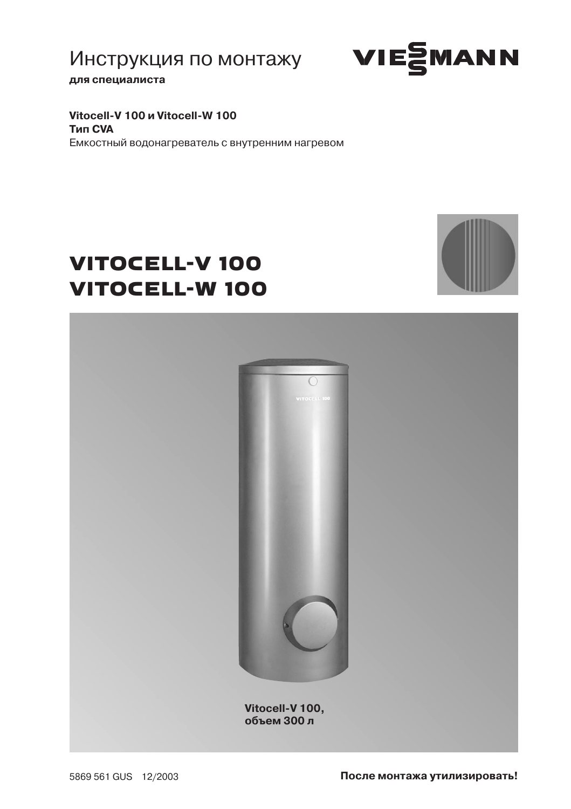Инструкция по монтажу



для специалиста

Vitocell-V 100 и Vitocell-W 100 **Тип CVA** Емкостный водонагреватель с внутренним нагревом

# **VITOCELL-V 100 VITOCELL-W 100**



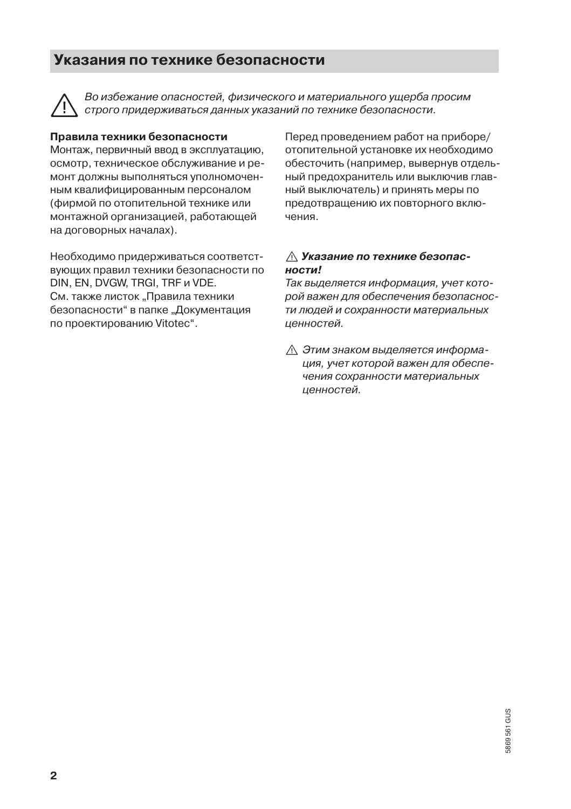#### Указания по технике безопасности



Во избежание опасностей, физического и материального ушерба просим строго придерживаться данных указаний по технике безопасности.

#### Правила техники безопасности

Монтаж, первичный ввод в эксплуатацию, осмотр, техническое обслуживание и ремонт должны выполняться уполномоченным квалифицированным персоналом (фирмой по отопительной технике или монтажной организацией, работающей на договорных началах).

Необходимо придерживаться соответствующих правил техники безопасности по DIN, EN, DVGW, TRGI, TRF и VDE. См. также листок "Правила техники безопасности" в папке "Документация по проектированию Vitotec".

Перед проведением работ на приборе/ отопительной установке их необходимо обесточить (например, вывернув отдельный предохранитель или выключив главный выключатель) и принять меры по предотвращению их повторного включения.

#### ∧ Указание по технике безопасности!

Так выделяется информация, учет которой важен для обеспечения безопасности людей и сохранности материальных ценностей.

∧ Этим знаком выделяется информация, учет которой важен для обеспечения сохранности материальных ценностей.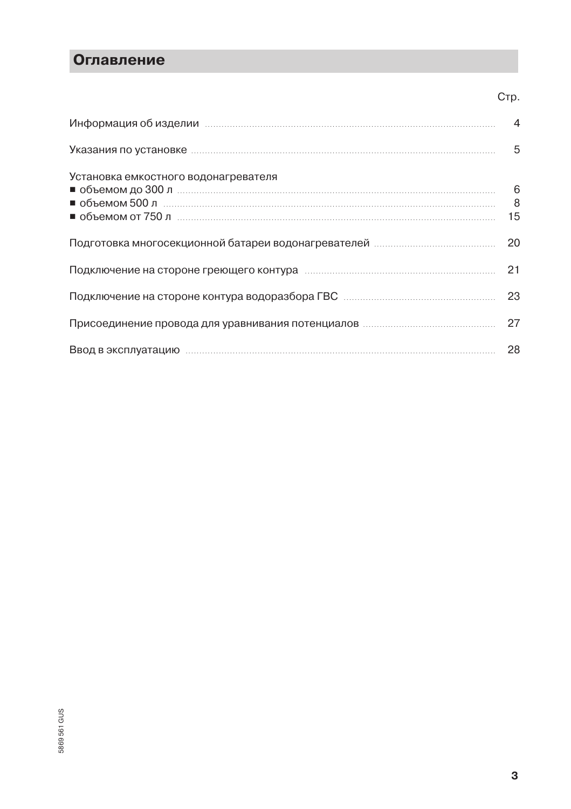## **Оглавление**

|                                                                                                               | UID. |
|---------------------------------------------------------------------------------------------------------------|------|
| Информация об изделии повмощения и полности и при тем и части и части и части и части и части и части и части |      |
|                                                                                                               | 5    |
| Установка емкостного водонагревателя                                                                          |      |
|                                                                                                               | 20   |
|                                                                                                               | 21   |
|                                                                                                               | 23   |
|                                                                                                               | 27   |
| Ввод в эксплуатацию политиками политиками по не в технических политиках и политиках и политиках и по          | 28   |

 $\sim$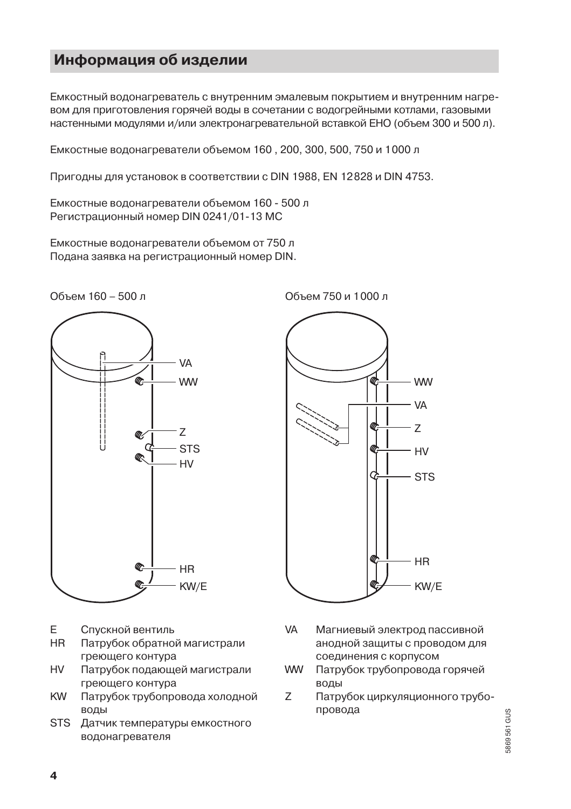#### Информация об изделии

Емкостный водонагреватель с внутренним эмалевым покрытием и внутренним нагревом для приготовления горячей воды в сочетании с водогрейными котлами, газовыми настенными модулями и/или электронагревательной вставкой ЕНО (объем 300 и 500 л).

Емкостные водонагреватели объемом 160, 200, 300, 500, 750 и 1000 л

Пригодны для установок в соответствии с DIN 1988, EN 12828 и DIN 4753.

Емкостные водонагреватели объемом 160 - 500 л Регистрационный номер DIN 0241/01-13 MC

Емкостные водонагреватели объемом от 750 л Подана заявка на регистрационный номер DIN.





**WW VA**  $\overline{z}$  $HV$ d **STS HR**  $KW/E$ 

Объем 750 и 1000 л

- F. Спускной вентиль
- HR. Патрубок обратной магистрали греющего контура
- **HV** Патрубок подающей магистрали греющего контура
- **KW** Патрубок трубопровода холодной воды
- **STS** Датчик температуры емкостного водонагревателя
- **VA** Магниевый электрод пассивной анодной защиты с проводом для соединения с корпусом
- **WW** Патрубок трубопровода горячей воды
- Z Патрубок циркуляционного трубопровода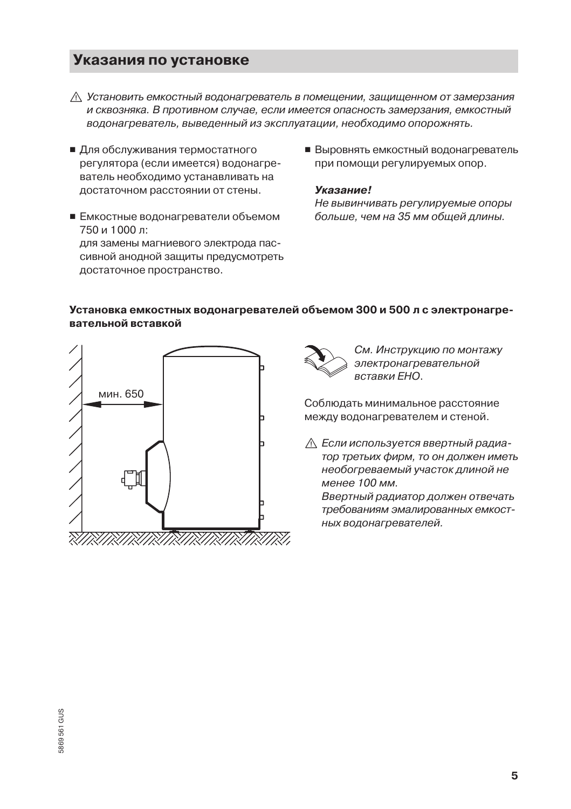#### Указания по установке

- ∧ Установить емкостный водонагреватель в помешении, зашишенном от замерзания и сквозняка. В противном случае, если имеется опасность замерзания, емкостный водонагреватель, выведенный из эксплуатации, необходимо опорожнять.
- Для обслуживания термостатного регулятора (если имеется) водонагреватель необходимо устанавливать на достаточном расстоянии от стены.
- Емкостные водонагреватели объемом 750 и 1000 л: для замены магниевого электрода пассивной анодной зашиты предусмотреть достаточное пространство.
- Выровнять емкостный водонагреватель при помощи регулируемых опор.

#### **Указание!**

Не вывинчивать регулируемые опоры больше, чем на 35 мм общей длины.

#### Установка емкостных водонагревателей объемом 300 и 500 л с электронагревательной вставкой





См. Инструкцию по монтажу электронагревательной вставки ЕНО.

Соблюдать минимальное расстояние между водонагревателем и стеной.

**<u>∧</u> Если используется ввертный радиа**тор третьих фирм, то он должен иметь необогреваемый участок длиной не менее 100 мм.

Ввертный радиатор должен отвечать требованиям эмалированных емкостных водонагревателей.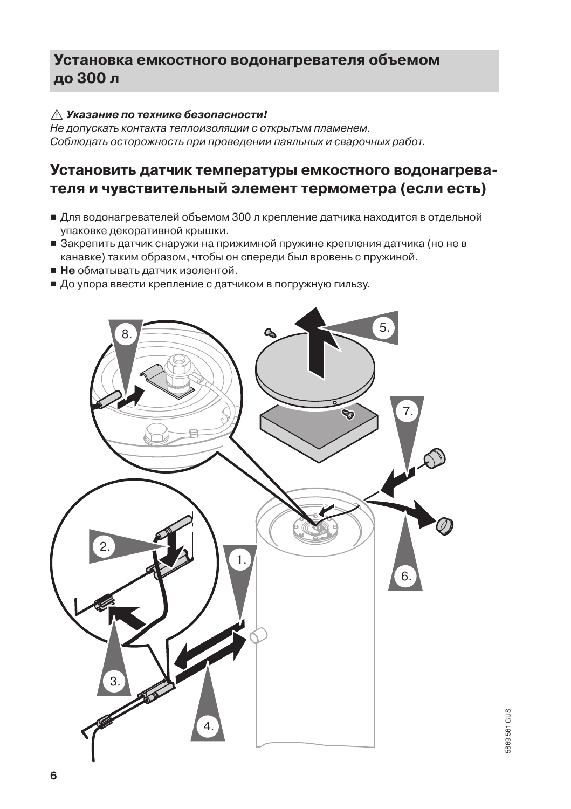#### ∧ Указание по технике безопасности!

—<br>Не допускать контакта теплоизоляции с открытым пламенем. Соблюдать осторожность при проведении паяльных и сварочных работ.

#### Установить датчик температуры емкостного водонагревателя и чувствительный элемент термометра (если есть)

- Для водонагревателей объемом 300 л крепление датчика находится в отдельной упаковке декоративной крышки.
- Закрепить датчик снаружи на прижимной пружине крепления датчика (но не в канавке) таким образом, чтобы он спереди был вровень с пружиной.
- Не обматывать датчик изолентой.
- До упора ввести крепление с датчиком в погружную гильзу.

![](_page_5_Figure_8.jpeg)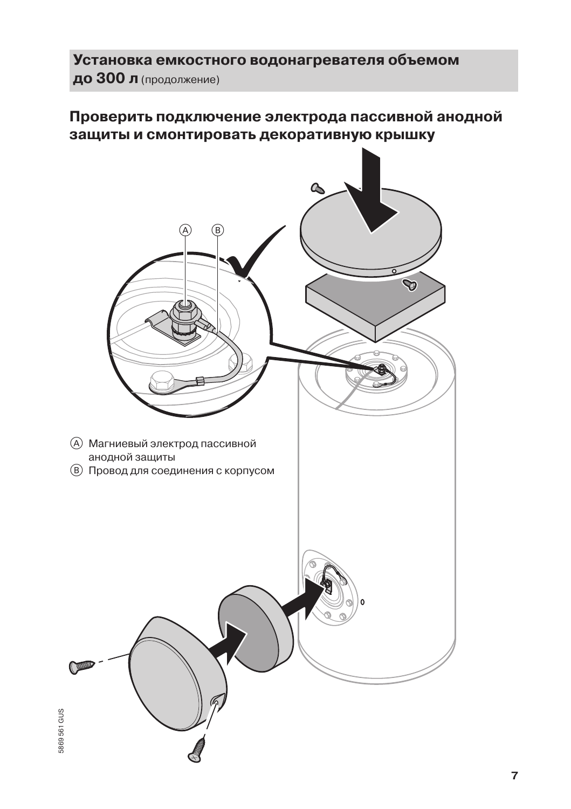Установка емкостного водонагревателя объемом до 300 л (продолжение)

### Проверить подключение электрода пассивной анодной защиты и смонтировать декоративную крышку

![](_page_6_Picture_2.jpeg)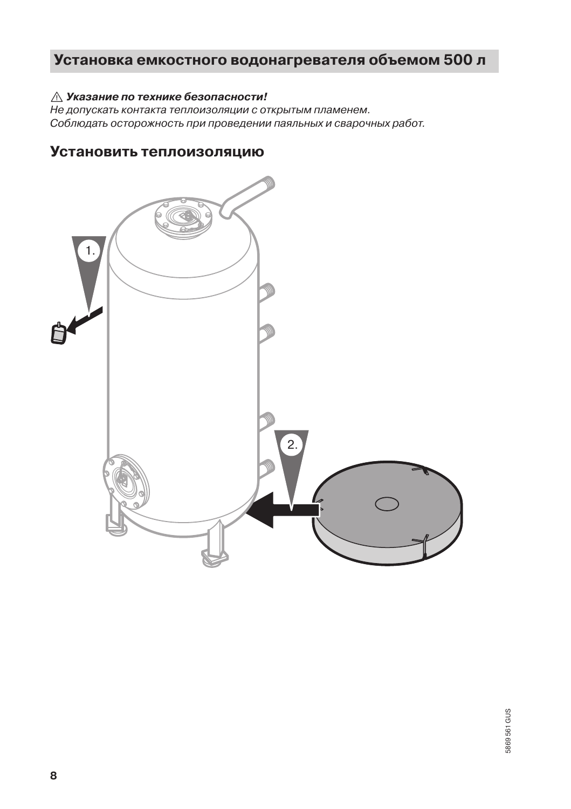#### ∧ Указание по технике безопасности!

Не допускать контакта теплоизоляции с открытым пламенем. Соблюдать осторожность при проведении паяльных и сварочных работ.

### Установить теплоизоляцию

![](_page_7_Figure_4.jpeg)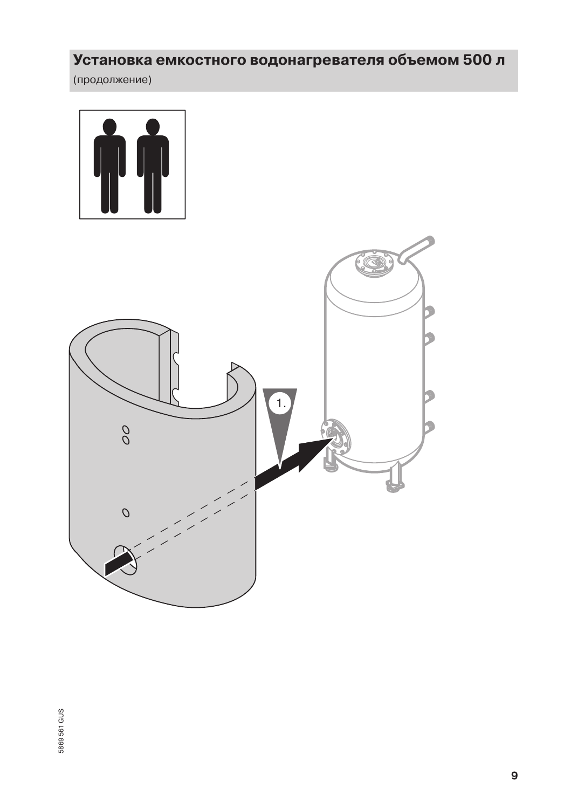(продолжение)

![](_page_8_Picture_2.jpeg)

![](_page_8_Picture_3.jpeg)

5869 561 GUS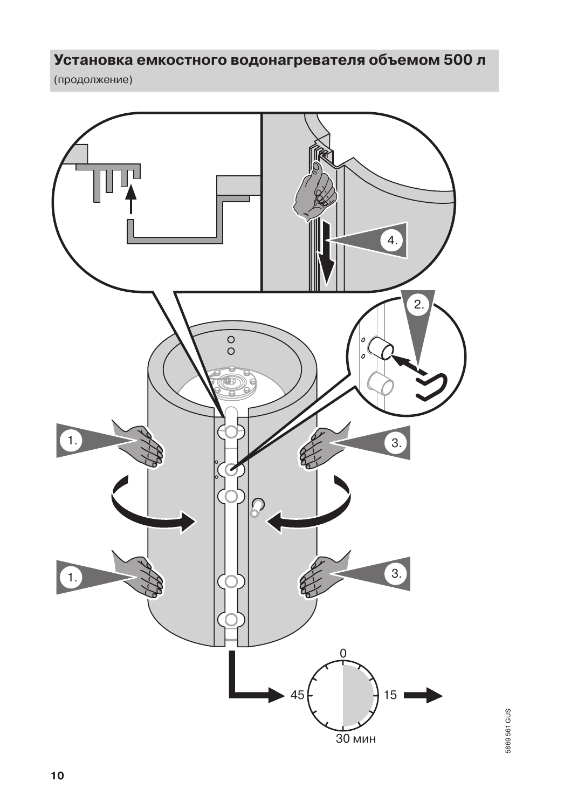(продолжение)

![](_page_9_Figure_2.jpeg)

5869561 GUS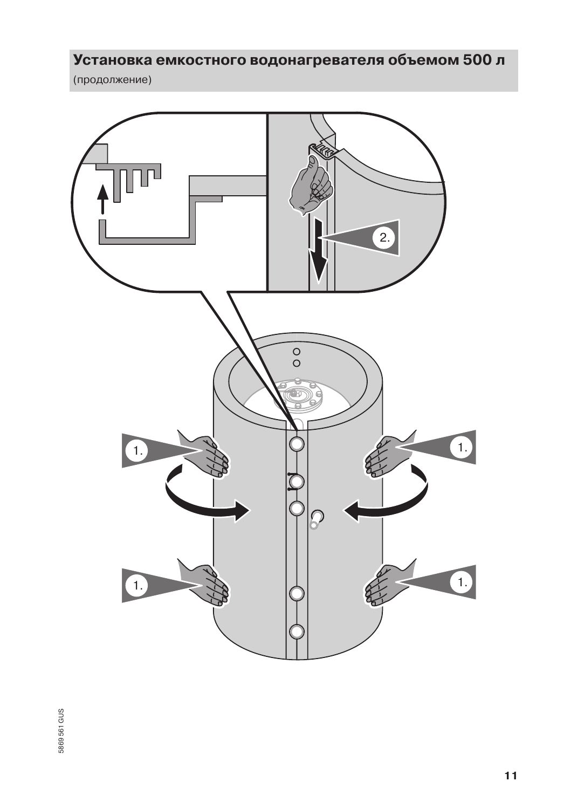(продолжение)

![](_page_10_Figure_2.jpeg)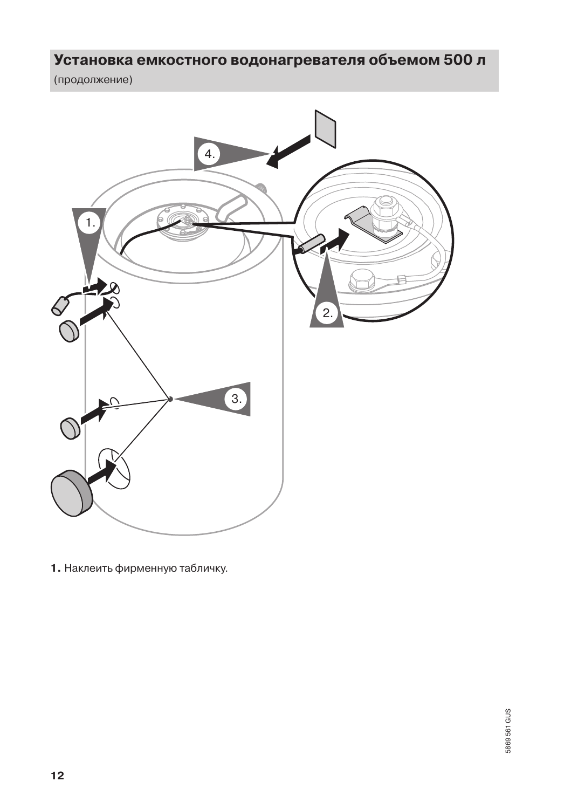(продолжение)

![](_page_11_Picture_2.jpeg)

1. Наклеить фирменную табличку.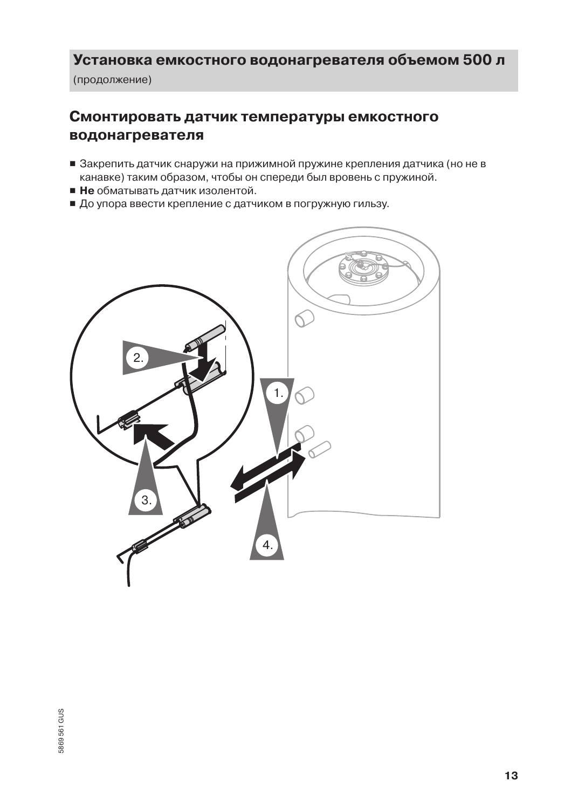(продолжение)

#### Смонтировать датчик температуры емкостного водонагревателя

- Закрепить датчик снаружи на прижимной пружине крепления датчика (но не в канавке) таким образом, чтобы он спереди был вровень с пружиной.
- Не обматывать датчик изолентой.
- До упора ввести крепление с датчиком в погружную гильзу.

![](_page_12_Picture_6.jpeg)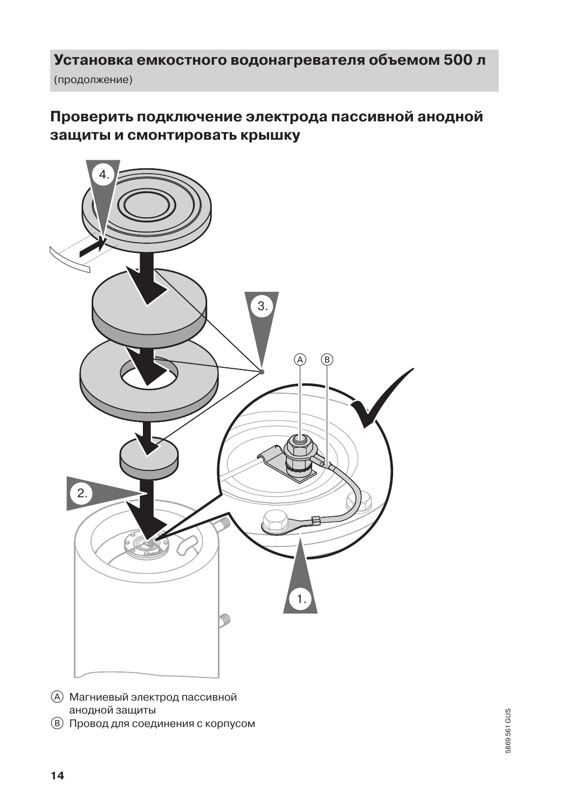(продолжение)

### Проверить подключение электрода пассивной анодной защиты и смонтировать крышку

![](_page_13_Figure_3.jpeg)

- **(A)** Магниевый электрод пассивной анодной защиты
- (В) Провод для соединения с корпусом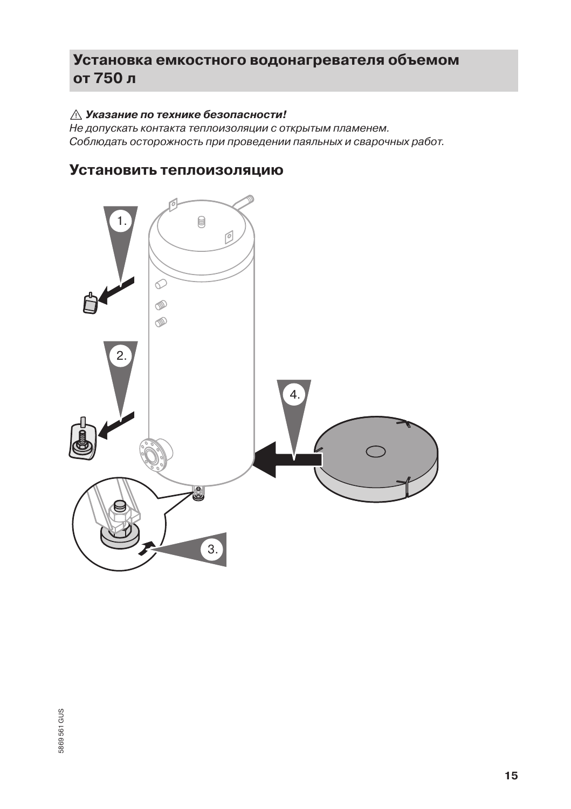#### $\triangle$  Указание по технике безопасности!

—<br>Не допускать контакта теплоизоляции с открытым пламенем. Соблюдать осторожность при проведении паяльных и сварочных работ.

#### Установить теплоизоляцию

![](_page_14_Figure_4.jpeg)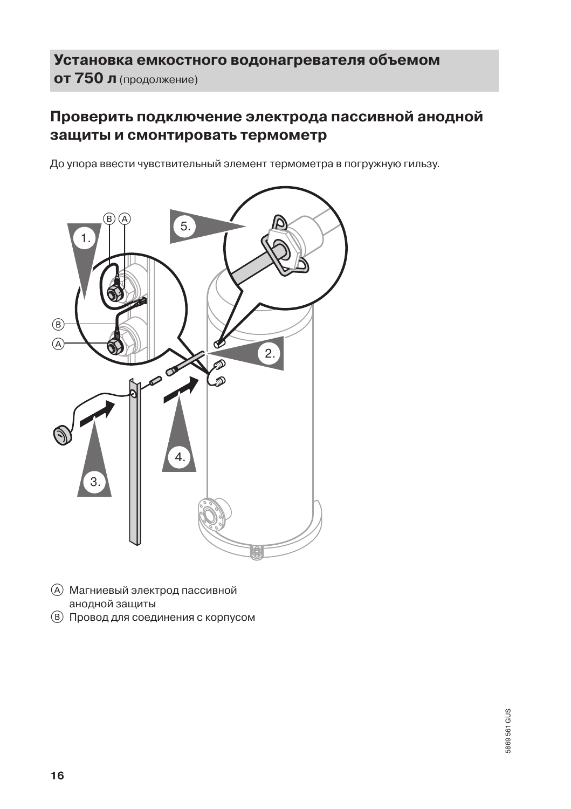### Установка емкостного водонагревателя объемом ОТ 750 л (продолжение)

### Проверить подключение электрода пассивной анодной защиты и смонтировать термометр

До упора ввести чувствительный элемент термометра в погружную гильзу.

![](_page_15_Figure_3.jpeg)

- (A) Магниевый электрод пассивной анодной защиты
- (В) Провод для соединения с корпусом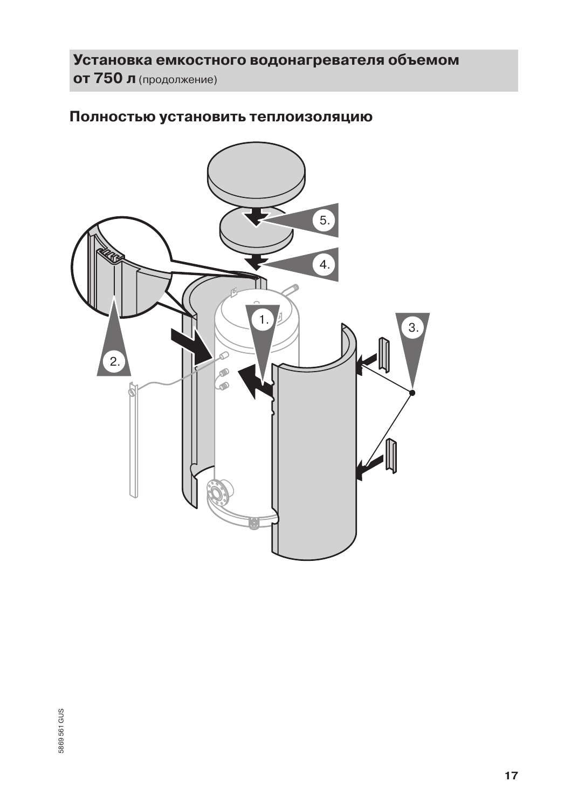## Установка емкостного водонагревателя объемом от 750 л (продолжение)

#### Полностью установить теплоизоляцию

![](_page_16_Picture_2.jpeg)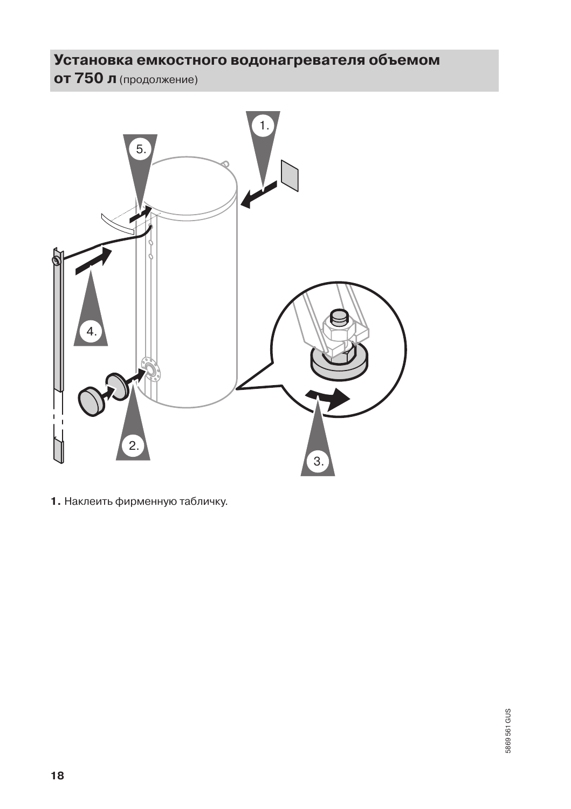# ОТ 750 л (продолжение)

![](_page_17_Picture_2.jpeg)

1. Наклеить фирменную табличку.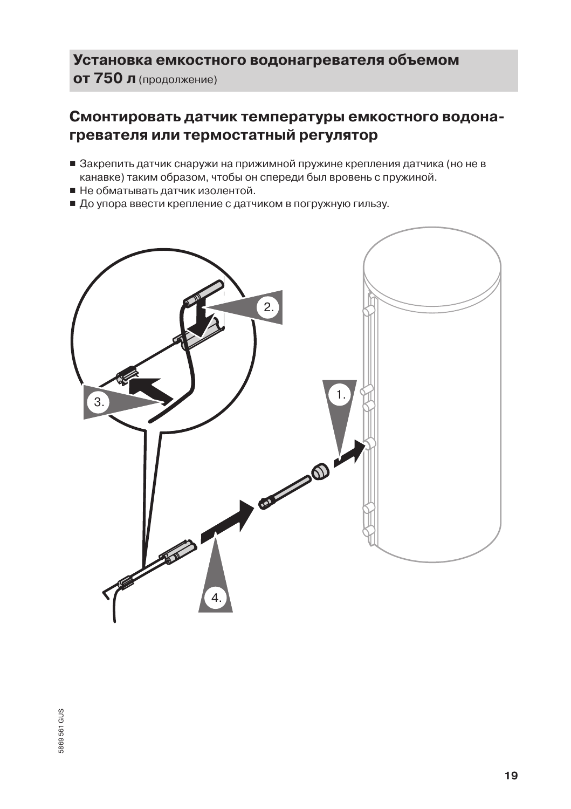### Установка емкостного водонагревателя объемом ОТ 750 л (продолжение)

#### Смонтировать датчик температуры емкостного водонагревателя или термостатный регулятор

- Закрепить датчик снаружи на прижимной пружине крепления датчика (но не в канавке) таким образом, чтобы он спереди был вровень с пружиной.
- Не обматывать датчик изолентой.
- До упора ввести крепление с датчиком в погружную гильзу.

![](_page_18_Figure_5.jpeg)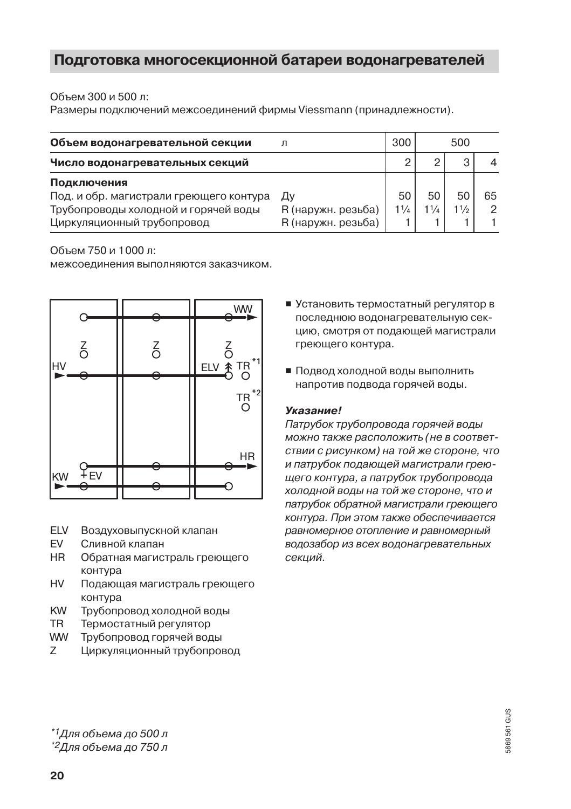#### Подготовка многосекционной батареи водонагревателей

#### Объем 300 и 500 л.

Размеры подключений межсоединений фирмы Viessmann (принадлежности).

| Объем водонагревательной секции                                                                                              |                                                | 300<br>500           |                      |            |         |
|------------------------------------------------------------------------------------------------------------------------------|------------------------------------------------|----------------------|----------------------|------------|---------|
| Число водонагревательных секций                                                                                              |                                                |                      | ∩                    | ∩          |         |
| Подключения<br>Под. и обр. магистрали греющего контура<br>Трубопроводы холодной и горячей воды<br>Циркуляционный трубопровод | Дγ<br>R (наружн. резьба)<br>R (наружн. резьба) | 50<br>$1\frac{1}{4}$ | 50<br>$1\frac{1}{4}$ | 50<br>11/2 | 65<br>2 |

#### Объем 750 и 1000 л:

межсоединения выполняются заказчиком.

![](_page_19_Figure_6.jpeg)

- **ELV** Воздуховыпускной клапан
- **FV** Сливной клапан
- **HR** Обратная магистраль греющего контура
- **HV** Подающая магистраль греющего контура
- KW Трубопровод холодной воды
- **TR** Термостатный регулятор
- **WW** Трубопровод горячей воды
- $\overline{z}$ Циркуляционный трубопровод
- Установить термостатный регулятор в последнюю водонагревательную секцию, смотря от подающей магистрали греющего контура.
- Подвод холодной воды выполнить напротив подвода горячей воды.

#### Указание!

Патрубок трубопровода горячей воды можно также расположить (не в соответствии с рисунком) на той же стороне, что и патрубок подающей магистрали греющего контура, а патрубок трубопровода холодной воды на той же стороне, что и патрубок обратной магистрали греющего контура. При этом также обеспечивается равномерное отопление и равномерный водозабор из всех водонагревательных секций.

<sup>\*1</sup>Для объема до 500 л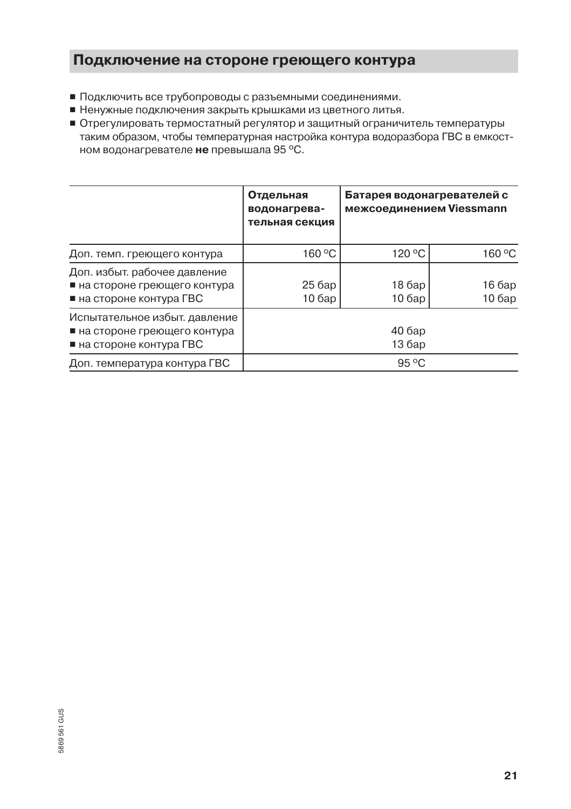#### Подключение на стороне греющего контура

- Подключить все трубопроводы с разъемными соединениями.
- Ненужные подключения закрыть крышками из цветного литья.
- Отрегулировать термостатный регулятор и защитный ограничитель температуры таким образом, чтобы температурная настройка контура водоразбора ГВС в емкостном водонагревателе не превышала 95 °С.

|                                                                                                         | Отдельная<br>водонагрева-<br>тельная секция | Батарея водонагревателей с<br>межсоединением Viessmann |                 |
|---------------------------------------------------------------------------------------------------------|---------------------------------------------|--------------------------------------------------------|-----------------|
| Доп. темп. греющего контура                                                                             | 160 °C                                      | 120 °C                                                 | 160 °C          |
| Доп. избыт. рабочее давление<br>■ на стороне греющего контура<br>$\blacksquare$ на стороне контура ГВС  | 25 бар<br>106ap                             | 18 бар<br>106ap                                        | 16 бар<br>106ap |
| Испытательное избыт. давление<br>■ на стороне греющего контура<br>$\blacksquare$ на стороне контура ГВС | 40 бар<br>13 бар                            |                                                        |                 |
| Доп. температура контура ГВС                                                                            |                                             | $95^{\circ}$ C                                         |                 |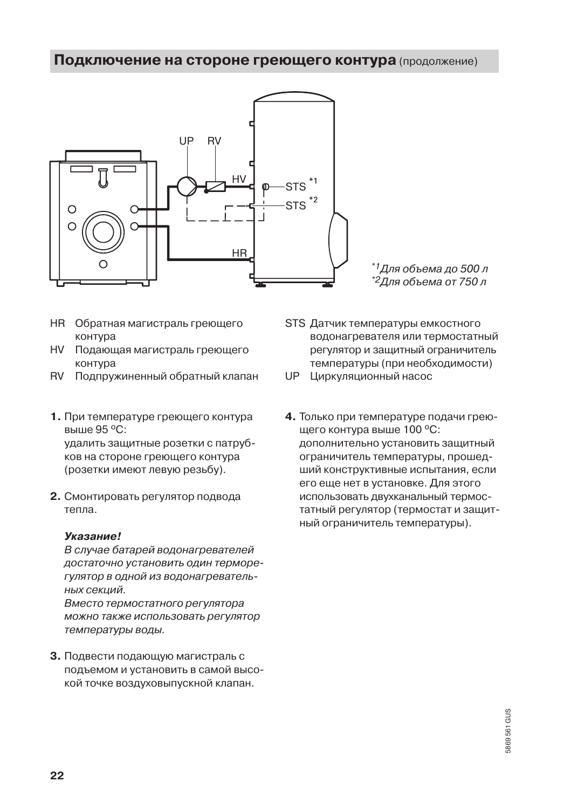#### Подключение на стороне греющего контура (продолжение)

![](_page_21_Figure_1.jpeg)

\*1Для объема до 500 л \*<sup>2</sup>Для объема от 750 л

- **HR** Обратная магистраль греющего контура
- **HV** Подающая магистраль греющего контура
- RV Подпружиненный обратный клапан
- 1. При температуре греющего контура BHILLE 95 °C. удалить защитные розетки с патрубков на стороне греющего контура (розетки имеют левую резьбу).
- 2. Смонтировать регулятор подвода тепла.

#### **Указание!**

В случае батарей водонагревателей достаточно установить один терморегулятор в одной из водонагревательных секций.

Вместо термостатного регулятора можно также использовать регулятор температуры воды.

3. Подвести подающую магистраль с подъемом и установить в самой высокой точке воздуховыпускной клапан.

STS Датчик температуры емкостного водонагревателя или термостатный регулятор и защитный ограничитель температуры (при необходимости)

UP Циркуляционный насос

4. Только при температуре подачи греющего контура выше 100 °С: дополнительно установить защитный ограничитель температуры, прошедший конструктивные испытания, если его еще нет в установке. Для этого использовать двухканальный термостатный регулятор (термостат и защитный ограничитель температуры).

5869561 GUS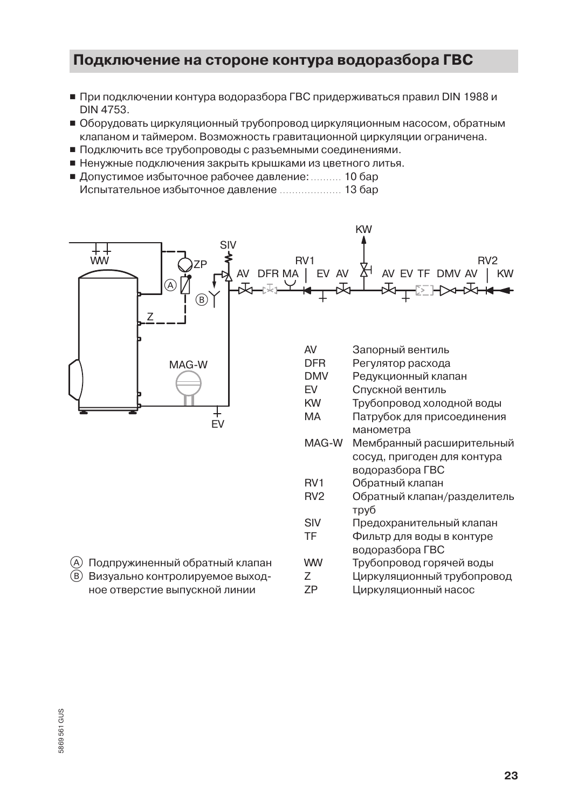- При подключении контура водоразбора ГВС придерживаться правил DIN 1988 и DIN 4753.
- Оборудовать циркуляционный трубопровод циркуляционным насосом, обратным клапаном и таймером. Возможность гравитационной циркуляции ограничена.
- Подключить все трубопроводы с разъемными соединениями.
- Ненужные подключения закрыть крышками из цветного литья.
- Допустимое избыточное рабочее давление: .......... 10 бар Испытательное избыточное давление ...................... 13 бар

![](_page_22_Figure_6.jpeg)

(A) Подпружиненный обратный клапан (В) Визуально контролируемое выходное отверстие выпускной линии

|                 | водоразбора ГВС             |
|-----------------|-----------------------------|
| RV <sub>1</sub> | Обратный клапан             |
| RV <sub>2</sub> | Обратный клапан/разделитель |
|                 | труб                        |
| SIV             | Предохранительный клапан    |
| TF              | Фильтр для воды в контуре   |
|                 | водоразбора ГВС             |
| ww              | Трубопровод горячей воды    |
| 7               | Циркуляционный трубопровод  |
| 7P              | Циркуляционный насос        |
|                 |                             |
|                 |                             |
|                 |                             |
|                 |                             |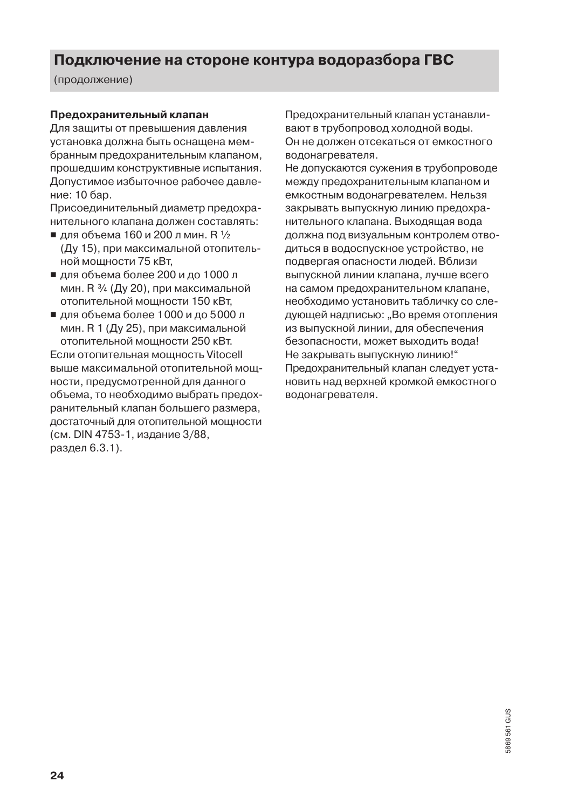(продолжение)

#### Предохранительный клапан

Для зашиты от превышения давления установка должна быть оснащена мембранным предохранительным клапаном. прошедшим конструктивные испытания. Допустимое избыточное рабочее давление: 10 бар.

Присоединительный диаметр предохранительного клапана должен составлять:

- для объема 160 и 200 л мин. В 1/2 (Ду 15), при максимальной отопительной мошности 75 кВт.
- для объема более 200 и до 1000 л мин. R 3/4 (Ду 20), при максимальной отопительной мощности 150 кВт.
- для объема более 1000 и до 5000 л мин. R 1 (Ду 25), при максимальной отопительной мошности 250 кВт. Если отопительная мошность Vitocell выше максимальной отопительной мошности, предусмотренной для данного объема, то необходимо выбрать предохранительный клапан большего размера, достаточный для отопительной мощности (см. DIN 4753-1, издание 3/88, раздел 6.3.1).

Предохранительный клапан устанавливают в трубопровод холодной воды. Он не должен отсекаться от емкостного водонагревателя.

Не допускаются сужения в трубопроводе между предохранительным клапаном и емкостным водонагревателем. Нельзя закрывать выпускную линию предохранительного клапана. Выходящая вода должна под визуальным контролем отводиться в водоспускное устройство, не подвергая опасности людей. Вблизи выпускной линии клапана, лучше всего на самом предохранительном клапане. необходимо установить табличку со следующей надписью: "Во время отопления из выпускной линии, для обеспечения безопасности, может выходить вода! Не закрывать выпускную линию!" Предохранительный клапан следует установить над верхней кромкой емкостного водонагревателя.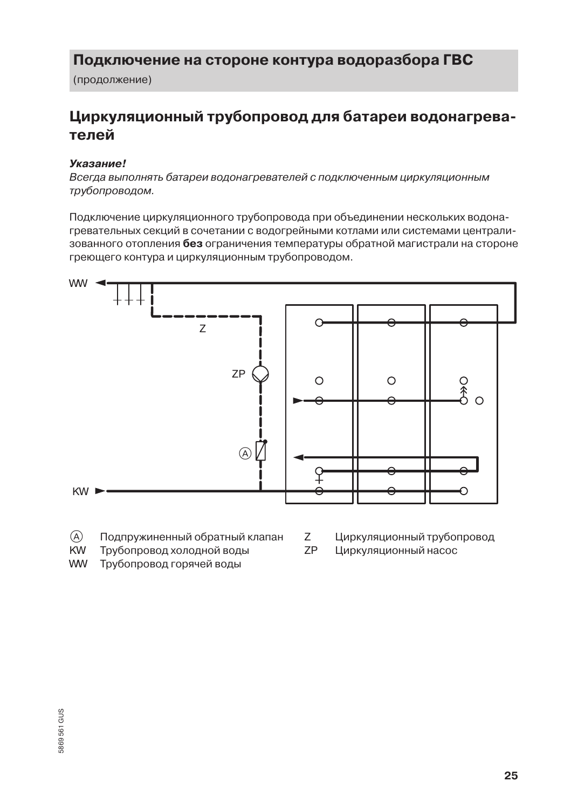(продолжение)

# Циркуляционный трубопровод для батареи водонагревателей

#### Указание!

Всегда выполнять батареи водонагревателей с подключенным циркуляционным трубопроводом.

Подключение циркуляционного трубопровода при объединении нескольких водонагревательных секций в сочетании с водогрейными котлами или системами централизованного отопления без ограничения температуры обратной магистрали на стороне греющего контура и циркуляционным трубопроводом.

![](_page_24_Figure_6.jpeg)

- $\mathcal{A}$ Подпружиненный обратный клапан
- **KW** Трубопровод холодной воды
- **WW** Трубопровод горячей воды
- Z. Циркуляционный трубопровод
- 7P Циркуляционный насос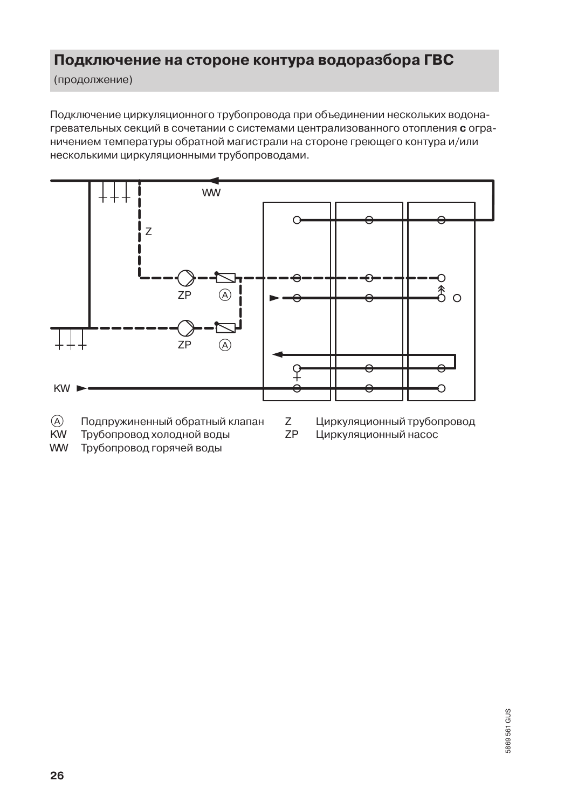(продолжение)

Подключение циркуляционного трубопровода при объединении нескольких водонагревательных секций в сочетании с системами централизованного отопления с ограничением температуры обратной магистрали на стороне греющего контура и/или несколькими циркуляционными трубопроводами.

![](_page_25_Figure_3.jpeg)

- $\mathcal{A}$ Подпружиненный обратный клапан
	- Z **ZP**
- Циркуляционный трубопровод Циркуляционный насос
- **KW** Трубопровод холодной воды **WW** Трубопровод горячей воды

5869 561 GUS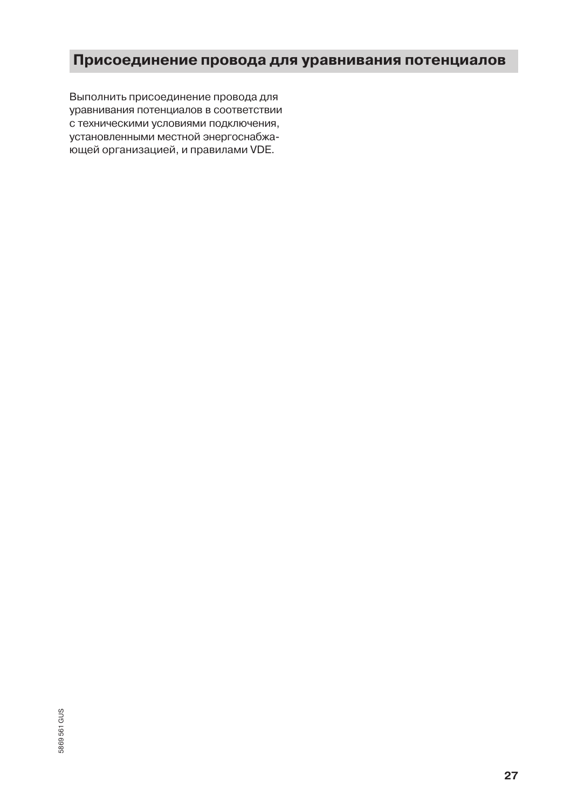### Присоединение провода для уравнивания потенциалов

Выполнить присоединение провода для уравнивания потенциалов в соответствии с техническими условиями подключения, установленными местной энергоснабжающей организацией, и правилами VDE.